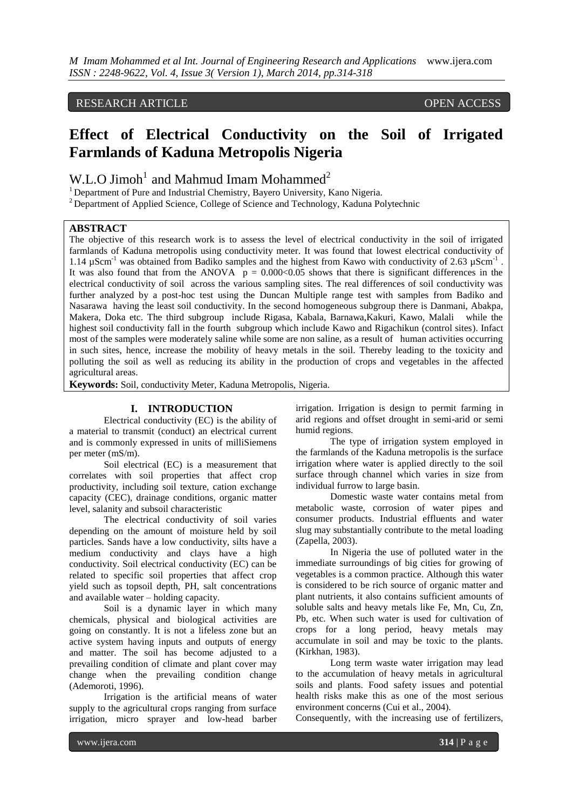# RESEARCH ARTICLE OPEN ACCESS

# **Effect of Electrical Conductivity on the Soil of Irrigated Farmlands of Kaduna Metropolis Nigeria**

W.L.O Jimoh<sup>1</sup> and Mahmud Imam Mohammed<sup>2</sup>

<sup>1</sup> Department of Pure and Industrial Chemistry, Bayero University, Kano Nigeria.

<sup>2</sup> Department of Applied Science, College of Science and Technology, Kaduna Polytechnic

# **ABSTRACT**

The objective of this research work is to assess the level of electrical conductivity in the soil of irrigated farmlands of Kaduna metropolis using conductivity meter. It was found that lowest electrical conductivity of 1.14 µScm<sup>-1</sup> was obtained from Badiko samples and the highest from Kawo with conductivity of 2.63 µScm<sup>-1</sup>. It was also found that from the ANOVA  $p = 0.000<0.05$  shows that there is significant differences in the electrical conductivity of soil across the various sampling sites. The real differences of soil conductivity was further analyzed by a post-hoc test using the Duncan Multiple range test with samples from Badiko and Nasarawa having the least soil conductivity. In the second homogeneous subgroup there is Danmani, Abakpa, Makera, Doka etc. The third subgroup include Rigasa, Kabala, Barnawa,Kakuri, Kawo, Malali while the highest soil conductivity fall in the fourth subgroup which include Kawo and Rigachikun (control sites). Infact most of the samples were moderately saline while some are non saline, as a result of human activities occurring in such sites, hence, increase the mobility of heavy metals in the soil. Thereby leading to the toxicity and polluting the soil as well as reducing its ability in the production of crops and vegetables in the affected agricultural areas.

**Keywords:** Soil, conductivity Meter, Kaduna Metropolis, Nigeria.

### **I. INTRODUCTION**

Electrical conductivity (EC) is the ability of a material to transmit (conduct) an electrical current and is commonly expressed in units of milliSiemens per meter (mS/m).

Soil electrical (EC) is a measurement that correlates with soil properties that affect crop productivity, including soil texture, cation exchange capacity (CEC), drainage conditions, organic matter level, salanity and subsoil characteristic

The electrical conductivity of soil varies depending on the amount of moisture held by soil particles. Sands have a low conductivity, silts have a medium conductivity and clays have a high conductivity. Soil electrical conductivity (EC) can be related to specific soil properties that affect crop yield such as topsoil depth, PH, salt concentrations and available water – holding capacity.

Soil is a dynamic layer in which many chemicals, physical and biological activities are going on constantly. It is not a lifeless zone but an active system having inputs and outputs of energy and matter. The soil has become adjusted to a prevailing condition of climate and plant cover may change when the prevailing condition change (Ademoroti, 1996).

Irrigation is the artificial means of water supply to the agricultural crops ranging from surface irrigation, micro sprayer and low-head barber

irrigation. Irrigation is design to permit farming in arid regions and offset drought in semi-arid or semi humid regions.

The type of irrigation system employed in the farmlands of the Kaduna metropolis is the surface irrigation where water is applied directly to the soil surface through channel which varies in size from individual furrow to large basin.

Domestic waste water contains metal from metabolic waste, corrosion of water pipes and consumer products. Industrial effluents and water slug may substantially contribute to the metal loading (Zapella, 2003).

In Nigeria the use of polluted water in the immediate surroundings of big cities for growing of vegetables is a common practice. Although this water is considered to be rich source of organic matter and plant nutrients, it also contains sufficient amounts of soluble salts and heavy metals like Fe, Mn, Cu, Zn, Pb, etc. When such water is used for cultivation of crops for a long period, heavy metals may accumulate in soil and may be toxic to the plants. (Kirkhan, 1983).

Long term waste water irrigation may lead to the accumulation of heavy metals in agricultural soils and plants. Food safety issues and potential health risks make this as one of the most serious environment concerns (Cui et al., 2004).

Consequently, with the increasing use of fertilizers,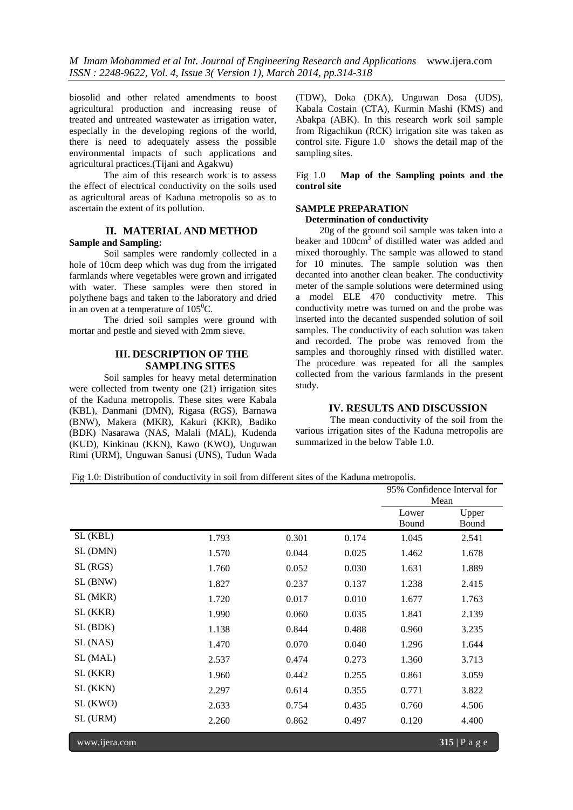biosolid and other related amendments to boost agricultural production and increasing reuse of treated and untreated wastewater as irrigation water, especially in the developing regions of the world, there is need to adequately assess the possible environmental impacts of such applications and agricultural practices.(Tijani and Agakwu)

The aim of this research work is to assess the effect of electrical conductivity on the soils used as agricultural areas of Kaduna metropolis so as to ascertain the extent of its pollution.

## **II. MATERIAL AND METHOD Sample and Sampling:**

Soil samples were randomly collected in a hole of 10cm deep which was dug from the irrigated farmlands where vegetables were grown and irrigated with water. These samples were then stored in polythene bags and taken to the laboratory and dried in an oven at a temperature of  $105^{\circ}$ C.

The dried soil samples were ground with mortar and pestle and sieved with 2mm sieve.

# **III. DESCRIPTION OF THE SAMPLING SITES**

Soil samples for heavy metal determination were collected from twenty one (21) irrigation sites of the Kaduna metropolis. These sites were Kabala (KBL), Danmani (DMN), Rigasa (RGS), Barnawa (BNW), Makera (MKR), Kakuri (KKR), Badiko (BDK) Nasarawa (NAS, Malali (MAL), Kudenda (KUD), Kinkinau (KKN), Kawo (KWO), Unguwan Rimi (URM), Unguwan Sanusi (UNS), Tudun Wada (TDW), Doka (DKA), Unguwan Dosa (UDS), Kabala Costain (CTA), Kurmin Mashi (KMS) and Abakpa (ABK). In this research work soil sample from Rigachikun (RCK) irrigation site was taken as control site. Figure 1.0 shows the detail map of the sampling sites.

Fig 1.0 **Map of the Sampling points and the control site**

# **SAMPLE PREPARATION**

### **Determination of conductivity**

 20g of the ground soil sample was taken into a beaker and 100cm<sup>3</sup> of distilled water was added and mixed thoroughly. The sample was allowed to stand for 10 minutes. The sample solution was then decanted into another clean beaker. The conductivity meter of the sample solutions were determined using a model ELE 470 conductivity metre. This conductivity metre was turned on and the probe was inserted into the decanted suspended solution of soil samples. The conductivity of each solution was taken and recorded. The probe was removed from the samples and thoroughly rinsed with distilled water. The procedure was repeated for all the samples collected from the various farmlands in the present study.

## **IV. RESULTS AND DISCUSSION**

The mean conductivity of the soil from the various irrigation sites of the Kaduna metropolis are summarized in the below Table 1.0.

Fig 1.0: Distribution of conductivity in soil from different sites of the Kaduna metropolis.

|          |       |       |       | 95% Confidence Interval for |       |  |
|----------|-------|-------|-------|-----------------------------|-------|--|
|          |       |       |       | Mean                        |       |  |
|          |       |       |       | Lower                       | Upper |  |
|          |       |       |       | Bound                       | Bound |  |
| SL (KBL) | 1.793 | 0.301 | 0.174 | 1.045                       | 2.541 |  |
| SL (DMN) | 1.570 | 0.044 | 0.025 | 1.462                       | 1.678 |  |
| SL(RGS)  | 1.760 | 0.052 | 0.030 | 1.631                       | 1.889 |  |
| SL (BNW) | 1.827 | 0.237 | 0.137 | 1.238                       | 2.415 |  |
| SL (MKR) | 1.720 | 0.017 | 0.010 | 1.677                       | 1.763 |  |
| SL (KKR) | 1.990 | 0.060 | 0.035 | 1.841                       | 2.139 |  |
| SL (BDK) | 1.138 | 0.844 | 0.488 | 0.960                       | 3.235 |  |
| SL (NAS) | 1.470 | 0.070 | 0.040 | 1.296                       | 1.644 |  |
| SL (MAL) | 2.537 | 0.474 | 0.273 | 1.360                       | 3.713 |  |
| SL (KKR) | 1.960 | 0.442 | 0.255 | 0.861                       | 3.059 |  |
| SL (KKN) | 2.297 | 0.614 | 0.355 | 0.771                       | 3.822 |  |
| SL (KWO) | 2.633 | 0.754 | 0.435 | 0.760                       | 4.506 |  |
| SL (URM) | 2.260 | 0.862 | 0.497 | 0.120                       | 4.400 |  |
|          |       |       |       |                             |       |  |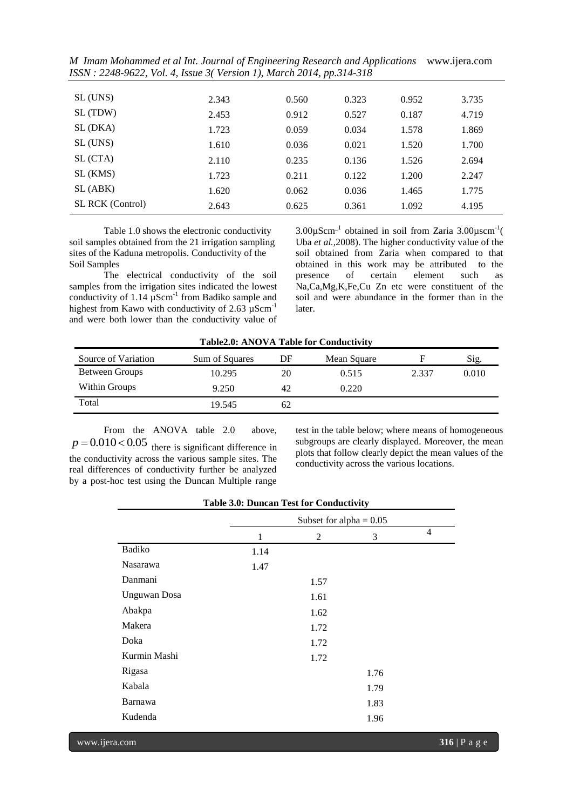*M Imam Mohammed et al Int. Journal of Engineering Research and Applications* www.ijera.com *ISSN : 2248-9622, Vol. 4, Issue 3( Version 1), March 2014, pp.314-318*

| SL (UNS)                | 2.343 | 0.560 | 0.323 | 0.952 | 3.735 |
|-------------------------|-------|-------|-------|-------|-------|
| SL (TDW)                | 2.453 | 0.912 | 0.527 | 0.187 | 4.719 |
| SL (DKA)                | 1.723 | 0.059 | 0.034 | 1.578 | 1.869 |
| SL (UNS)                | 1.610 | 0.036 | 0.021 | 1.520 | 1.700 |
| SL (CTA)                | 2.110 | 0.235 | 0.136 | 1.526 | 2.694 |
| SL (KMS)                | 1.723 | 0.211 | 0.122 | 1.200 | 2.247 |
| SL (ABK)                | 1.620 | 0.062 | 0.036 | 1.465 | 1.775 |
| <b>SL RCK</b> (Control) | 2.643 | 0.625 | 0.361 | 1.092 | 4.195 |

Table 1.0 shows the electronic conductivity soil samples obtained from the 21 irrigation sampling sites of the Kaduna metropolis. Conductivity of the Soil Samples

The electrical conductivity of the soil samples from the irrigation sites indicated the lowest conductivity of  $1.14 \mu$ Scm<sup>-1</sup> from Badiko sample and highest from Kawo with conductivity of  $2.63 \mu \text{Scm}^{-1}$ and were both lower than the conductivity value of

 $3.00 \mu \text{Scm}^{-1}$  obtained in soil from Zaria  $3.00 \mu \text{scm}^{-1}$ Uba *et al.*,2008). The higher conductivity value of the soil obtained from Zaria when compared to that obtained in this work may be attributed to the presence of certain element such as Na,Ca,Mg,K,Fe,Cu Zn etc were constituent of the soil and were abundance in the former than in the later.

| Table2.0. AINO VA Table for Conductivity |                |    |             |       |       |  |  |
|------------------------------------------|----------------|----|-------------|-------|-------|--|--|
| Source of Variation                      | Sum of Squares | DF | Mean Square |       | Sig.  |  |  |
| Between Groups                           | 10.295         | 20 | 0.515       | 2.337 | 0.010 |  |  |
| Within Groups                            | 9.250          | 42 | 0.220       |       |       |  |  |
| Total                                    | 19.545         | 62 |             |       |       |  |  |

**Table2.0: ANOVA Table for Conductivity**

From the ANOVA table 2.0 above,  $p = 0.010 \times 0.05$  there is significant difference in the conductivity across the various sample sites. The real differences of conductivity further be analyzed by a post-hoc test using the Duncan Multiple range

test in the table below; where means of homogeneous subgroups are clearly displayed. Moreover, the mean plots that follow clearly depict the mean values of the conductivity across the various locations.

| Table 3.0: Duncan Test for Conductivity |                           |      |      |   |  |
|-----------------------------------------|---------------------------|------|------|---|--|
|                                         | Subset for alpha = $0.05$ |      |      |   |  |
|                                         | 1                         | 2    | 3    | 4 |  |
| Badiko                                  | 1.14                      |      |      |   |  |
| Nasarawa                                | 1.47                      |      |      |   |  |
| Danmani                                 |                           | 1.57 |      |   |  |
| <b>Unguwan</b> Dosa                     |                           | 1.61 |      |   |  |
| Abakpa                                  |                           | 1.62 |      |   |  |
| Makera                                  |                           | 1.72 |      |   |  |
| Doka                                    |                           | 1.72 |      |   |  |
| Kurmin Mashi                            |                           | 1.72 |      |   |  |
| Rigasa                                  |                           |      | 1.76 |   |  |
| Kabala                                  |                           |      | 1.79 |   |  |
| Barnawa                                 |                           |      | 1.83 |   |  |
| Kudenda                                 |                           |      | 1.96 |   |  |
|                                         |                           |      |      |   |  |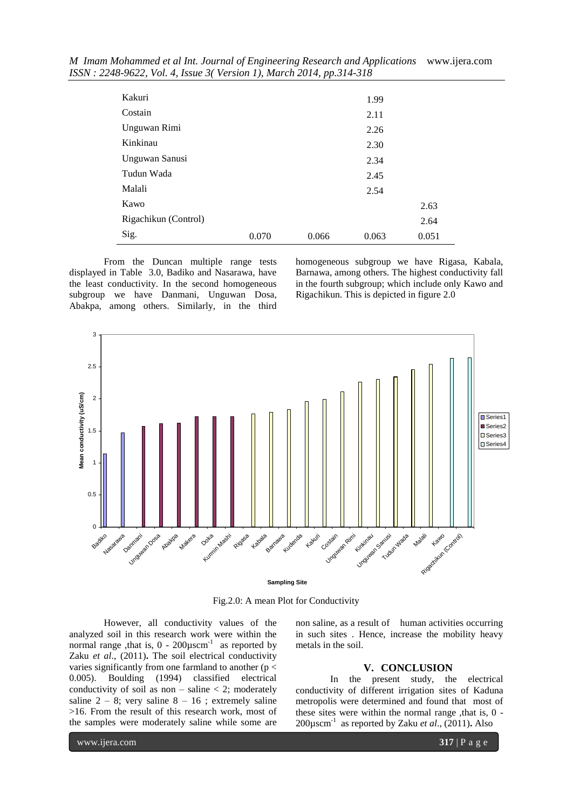| Kakuri               |       |       | 1.99  |       |
|----------------------|-------|-------|-------|-------|
| Costain              |       |       | 2.11  |       |
| Unguwan Rimi         |       |       | 2.26  |       |
| Kinkinau             |       |       | 2.30  |       |
| Unguwan Sanusi       |       |       | 2.34  |       |
| Tudun Wada           |       |       | 2.45  |       |
| Malali               |       |       | 2.54  |       |
| Kawo                 |       |       |       | 2.63  |
| Rigachikun (Control) |       |       |       | 2.64  |
| Sig.                 | 0.070 | 0.066 | 0.063 | 0.051 |

*M Imam Mohammed et al Int. Journal of Engineering Research and Applications* www.ijera.com *ISSN : 2248-9622, Vol. 4, Issue 3( Version 1), March 2014, pp.314-318*

From the Duncan multiple range tests displayed in Table 3.0, Badiko and Nasarawa, have the least conductivity. In the second homogeneous subgroup we have Danmani, Unguwan Dosa, Abakpa, among others. Similarly, in the third

homogeneous subgroup we have Rigasa, Kabala, Barnawa, among others. The highest conductivity fall in the fourth subgroup; which include only Kawo and Rigachikun. This is depicted in figure 2.0



Fig.2.0: A mean Plot for Conductivity

However, all conductivity values of the analyzed soil in this research work were within the normal range ,that is,  $0 - 200\mu$ scm<sup>-1</sup> as reported by Zaku *et al*., (2011)**.** The soil electrical conductivity varies significantly from one farmland to another ( $p <$ 0.005). Boulding (1994) classified electrical conductivity of soil as non – saline  $<$  2; moderately saline  $2 - 8$ ; very saline  $8 - 16$ ; extremely saline >16. From the result of this research work, most of the samples were moderately saline while some are

non saline, as a result of human activities occurring in such sites . Hence, increase the mobility heavy metals in the soil.

## **V. CONCLUSION**

In the present study, the electrical conductivity of different irrigation sites of Kaduna metropolis were determined and found that most of these sites were within the normal range ,that is, 0 - 200µscm-1 as reported by Zaku *et al*., (2011)**.** Also